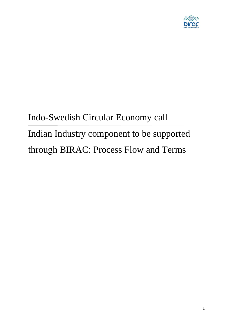

# Indo-Swedish Circular Economy call Indian Industry component to be supported through BIRAC: Process Flow and Terms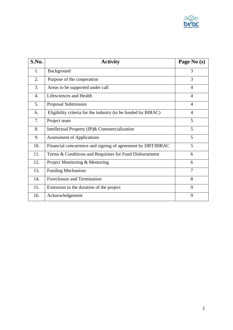

| S.No.            | <b>Activity</b>                                               | Page No (s)    |
|------------------|---------------------------------------------------------------|----------------|
| 1.               | Background                                                    | 3              |
| 2.               | Purpose of the cooperation                                    | 3              |
| 3.               | Areas to be supported under call                              | $\overline{4}$ |
| $\overline{4}$ . | Lifesciences and Health                                       | $\overline{4}$ |
| 5.               | Proposal Submission                                           | $\overline{4}$ |
| 6.               | Eligibility criteria for the industry (to be funded by BIRAC) | $\overline{4}$ |
| 7.               | Project team                                                  | 5              |
| 8.               | Intellectual Property (IP)& Commercialization                 | 5              |
| 9.               | <b>Assessment of Applications</b>                             | 5              |
| 10.              | Financial concurrence and signing of agreement by DBT/BIRAC   | 5              |
| 11.              | Terms & Conditions and Requisites for Fund Disbursement       | 6              |
| 12.              | Project Monitoring & Mentoring                                | 6              |
| 13.              | <b>Funding Mechanism</b>                                      | $\overline{7}$ |
| 14.              | Foreclosure and Termination                                   | 8              |
| 15.              | Extension in the duration of the project                      | 9              |
| 16.              | Acknowledgement                                               | 9              |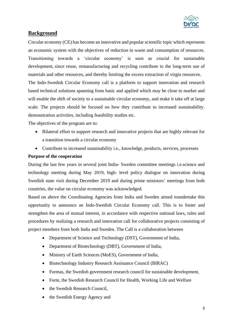

# **Background**

Circular economy (CE) has become an innovative and popular scientific topic which represents an economic system with the objectives of reduction in waste and consumption of resources. Transitioning towards a 'circular economy' is seen as crucial for sustainable development, since reuse, remanufacturing and recycling contribute to the long-term use of materials and other resources, and thereby limiting the excess extraction of virgin resources. The Indo-Swedish Circular Economy call is a platform to support innovation and research based technical solutions spanning from basic and applied which may be close to market and

will enable the shift of society to a sustainable circular economy, and make it take off at large scale. The projects should be focused on how they contribute to increased sustainability. demonstration activities, including feasibility studies etc.

The objectives of the program are to:

- Bilateral effort to support research and innovative projects that are highly relevant for a transition towards a circular economy
- Contribute to increased sustainability i.e., knowledge, products, services, processes

#### **Purpose of the cooperation**

During the last few years in several joint India- Sweden committee meetings i.e.science and technology meeting during May 2019, high- level policy dialogue on innovation during Swedish state visit during December 2019 and during prime ministers' meetings from both countries, the value on circular economy was acknowledged.

Based on above the Coordinating Agencies from India and Sweden aimed toundertake this opportunity to announce an Indo-Swedish Circular Economy call. This is to foster and strengthen the area of mutual interest, in accordance with respective national laws, rules and procedures by realizing a research and innovation call for collaborative projects consisting of project members from both India and Sweden. The Call is a collaboration between

- Department of Science and Technology (DST), Government of India,
- Department of Biotechnology (DBT), Government of India,
- Ministry of Earth Sciences (MoES), Government of India,
- Biotechnology Industry Research Assistance Council (BIRAC)
- Formas, the Swedish government research council for sustainable development,
- Forte, the Swedish Research Council for Health, Working Life and Welfare
- the Swedish Research Council.
- the Swedish Energy Agency and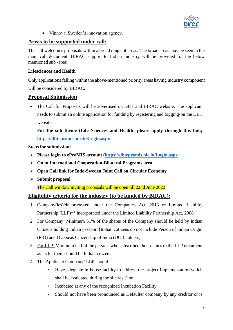

• Vinnova, Sweden's innovation agency.

#### **Areas to be supported under call:**

The call welcomes proposals within a broad range of areas. The broad areas may be seen in the main call document. BIRAC support to Indian Industry will be provided for the below mentioned sub -area:

#### **Lifesciences and Health**

Only applications falling within the above-mentioned priority areas having industry component will be considered by BIRAC.

#### **Proposal Submission**

• The Call for Proposals will be advertised on DBT and BIRAC website. The applicant needs to submit an online application for funding by registering and logging-on the DBT website.

**For the sub theme (Life Sciences and Health: please apply through this link; <https://dbtepromis.nic.in/Login.aspx>**

#### **Steps for submission:**

- ➢ **Please login to eProMIS account [\(https://dbtepromis.nic.in/Login.aspx](https://dbtepromis.nic.in/Login.aspx)**
- ➢ **Go to International Cooperation-Bilateral Programs area**
- ➢ **Open Call link for Indo-Sweden Joint Call on Circular Economy**
- ➢ **Submit proposal.**

The Call window inviting proposals will be open till 22nd June 2022

#### **Eligibility criteria for the industry (to be funded by BIRAC):**

- 1. Company(ies)\*incorporated under the Companies Act, 2013 or Limited Liability Partnership (LLP)<sup>\*\*</sup> incorporated under the Limited Liability Partnership Act, 2008.
- 2. For Company: Minimum 51% of the shares of the Company should be held by Indian Citizens holding Indian passport [Indian Citizens do not include Person of Indian Origin (PIO) and Overseas Citizenship of India (OCI) holders].
- 3. For LLP: Minimum half of the persons who subscribed their names to the LLP document as its Partners should be Indian citizens.
- 4. The Applicant Company/ LLP should:
	- Have adequate in-house facility to address the project implementation(which shall be evaluated during the site visit) or
	- Incubated at any of the recognized Incubation Facility
	- Should not have been pronounced as Defaulter company by any creditor or is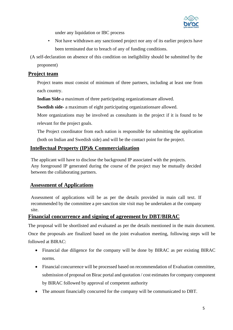

under any liquidation or IBC process

- Not have withdrawn any sanctioned project nor any of its earlier projects have been terminated due to breach of any of funding conditions.
- (A self-declaration on absence of this condition on ineligibility should be submitted by the proponent)

# **Project team**

Project teams must consist of minimum of three partners, including at least one from each country.

**Indian Side-**a maximum of three participating organizationsare allowed.

**Swedish side-** a maximum of eight participating organizationsare allowed.

More organizations may be involved as consultants in the project if it is found to be relevant for the project goals.

The Project coordinator from each nation is responsible for submitting the application (both on Indian and Swedish side) and will be the contact point for the project.

# **Intellectual Property (IP)& Commercialization**

The applicant will have to disclose the background IP associated with the projects. Any foreground IP generated during the course of the project may be mutually decided between the collaborating partners.

# **Assessment of Applications**

Assessment of applications will be as per the details provided in main call text. If recommended by the committee a pre sanction site visit may be undertaken at the company site.

# **Financial concurrence and signing of agreement by DBT/BIRAC**

The proposal will be shortlisted and evaluated as per the details mentioned in the main document. Once the proposals are finalized based on the joint evaluation meeting, following steps will be followed at BIRAC:

- Financial due diligence for the company will be done by BIRAC as per existing BIRAC norms.
- Financial concurrence will be processed based on recommendation of Evaluation committee, submission of proposal on Birac portal and quotation / cost estimates for company component by BIRAC followed by approval of competent authority
- The amount financially concurred for the company will be communicated to DBT.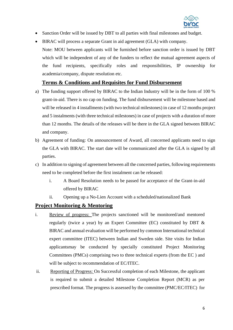

- Sanction Order will be issued by DBT to all parties with final milestones and budget.
- BIRAC will process a separate Grant in aid agreement (GLA) with company. Note: MOU between applicants will be furnished before sanction order is issued by DBT which will be independent of any of the funders to reflect the mutual agreement aspects of the fund recipients, specifically roles and responsibilities, IP ownership for academia/company, dispute resolution etc.

## **Terms & Conditions and Requisites for Fund Disbursement**

- a) The funding support offered by BIRAC to the Indian Industry will be in the form of 100 % grant-in-aid. There is no cap on funding. The fund disbursement will be milestone based and will be released in 4 installments (with two technical milestones) in case of 12 months project and 5 instalments (with three technical milestones) in case of projects with a duration of more than 12 months. The details of the releases will be there in the GLA signed between BIRAC and company.
- b) Agreement of funding: On announcement of Award, all concerned applicants need to sign the GLA with BIRAC. The start date will be communicated after the GLA is signed by all parties.
- c) In addition to signing of agreement between all the concerned parties, following requirements need to be completed before the first instalment can be released:
	- i. A Board Resolution needs to be passed for acceptance of the Grant-in-aid offered by BIRAC
	- ii. Opening up a No-Lien Account with a scheduled/nationalized Bank

# **Project Monitoring & Mentoring**

- i. Review of progress: The projects sanctioned will be monitored/and mentored regularly (twice a year) by an Expert Committee (EC) constituted by DBT & BIRAC and annual evaluation will be performed by common International technical expert committee (ITEC) between Indian and Sweden side. Site visits for Indian applicantsmay be conducted by specially constituted Project Monitoring Committees (PMCs) comprising two to three technical experts (from the EC ) and will be subject to recommendation of EC/ITEC.
- ii. Reporting of Progress: On Successful completion of each Milestone, the applicant is required to submit a detailed Milestone Completion Report (MCR) as per prescribed format. The progress is assessed by the committee (PMC/EC/ITEC) for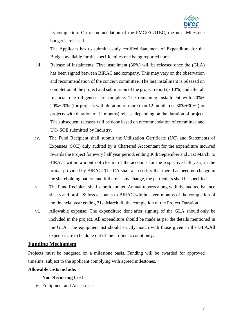

its completion. On recommendation of the PMC/EC/ITEC, the next Milestone budget is released.

The Applicant has to submit a duly certified Statement of Expenditure for the Budget available for the specific milestone being reported upon.

- iii. Release of instalments: First installment (30%) will be released once the (GLA) has been signed between BIRAC and company. This may vary on the observation and recommendation of the concern committee. The last installment is released on completion of the project and submission of the project report (~ 10%) and after all financial due diligences are complete. The remaining installment with 20%+ 20%+20% (for projects with duration of more than 12 months) or 30%+30% (for projects with duration of 12 months) release depending on the duration of project. The subsequent releases will be done based on recommendation of committee and UC- SOE submitted by Industry.
- iv. The Fund Recipient shall submit the Utilization Certificate (UC) and Statements of Expenses (SOE) duly audited by a Chartered Accountant for the expenditure incurred towards the Project for every half year period, ending 30th September and 31st March, to BIRAC, within a month of closure of the accounts for the respective half year, in the format provided by BIRAC. The CA shall also certify that there has been no change in the shareholding pattern and if there is any change, the particulars shall be specified.
- v. The Fund Recipient shall submit audited Annual reports along with the audited balance sheets and profit & loss accounts to BIRAC within seven months of the completion of the financial year ending 31st March till the completion of the Project Duration.
- vi. Allowable expense: The expenditure done after signing of the GLA should only be included in the project. All expenditure should be made as per the details mentioned in the GLA. The equipment list should strictly match with those given in the GLA.All expenses are to be done out of the no-lien account only.

#### **Funding Mechanism**

Projects must be budgeted on a milestone basis. Funding will be awarded for approved timeline, subject to the applicant complying with agreed milestones.

#### **Allowable costs include:**

#### **Non-Recurring Cost**

➢ Equipment and Accessories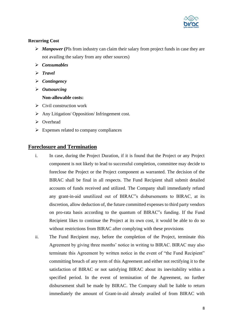

#### **Recurring Cost**

- ➢ *Manpower* **(**PIs from industry can claim their salary from project funds in case they are not availing the salary from any other sources)
- ➢ *Consumables*
- ➢ *Travel*
- ➢ *Contingency*
- ➢ *Outsourcing*
	- **Non-allowable costs:**
- $\triangleright$  Civil construction work
- ➢ Any Litigation/ Opposition/ Infringement cost.
- ➢ Overhead
- $\triangleright$  Expenses related to company compliances

## **Foreclosure and Termination**

- i. In case, during the Project Duration, if it is found that the Project or any Project component is not likely to lead to successful completion, committee may decide to foreclose the Project or the Project component as warranted. The decision of the BIRAC shall be final in all respects. The Fund Recipient shall submit detailed accounts of funds received and utilized. The Company shall immediately refund any grant-in-aid unutilized out of BIRAC"s disbursements to BIRAC, at its discretion, allow deduction of, the future committed expenses to third party vendors on pro-rata basis according to the quantum of BIRAC"s funding. If the Fund Recipient likes to continue the Project at its own cost, it would be able to do so without restrictions from BIRAC after complying with these provisions
- ii. The Fund Recipient may, before the completion of the Project, terminate this Agreement by giving three months' notice in writing to BIRAC. BIRAC may also terminate this Agreement by written notice in the event of "the Fund Recipient" committing breach of any term of this Agreement and either not rectifying it to the satisfaction of BIRAC or not satisfying BIRAC about its inevitability within a specified period. In the event of termination of the Agreement, no further disbursement shall be made by BIRAC. The Company shall be liable to return immediately the amount of Grant-in-aid already availed of from BIRAC with